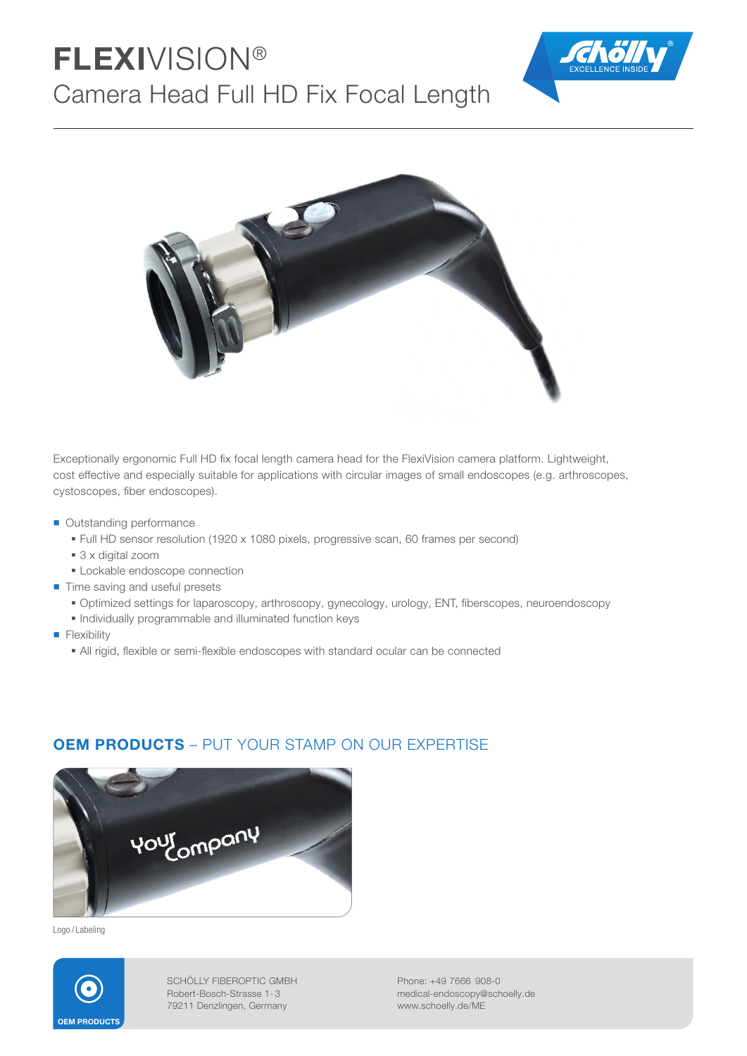# FLEXIVISION® Camera Head Full HD Fix Focal Length





Exceptionally ergonomic Full HD fix focal length camera head for the FlexiVision camera platform. Lightweight, cost effective and especially suitable for applications with circular images of small endoscopes (e.g. arthroscopes, cystoscopes, fiber endoscopes).

- Outstanding performance
	- Full HD sensor resolution (1920 x 1080 pixels, progressive scan, 60 frames per second)
	- 3 x digital zoom
	- **Lockable endoscope connection**
- Time saving and useful presets
	- Optimized settings for laparoscopy, arthroscopy, gynecology, urology, ENT, fiberscopes, neuroendoscopy
	- Individually programmable and illuminated function keys
- **Flexibility** 
	- All rigid, flexible or semi-flexible endoscopes with standard ocular can be connected



### OEM PRODUCTS – PUT YOUR STAMP ON OUR EXPERTISE

Logo / Labeling



SCHÖLLY FIBEROPTIC GMBH Robert-Bosch-Strasse 1- 3 79211 Denzlingen, Germany

Phone: +49 7666 908-0 medical-endoscopy@schoelly.de www.schoelly.de/ME